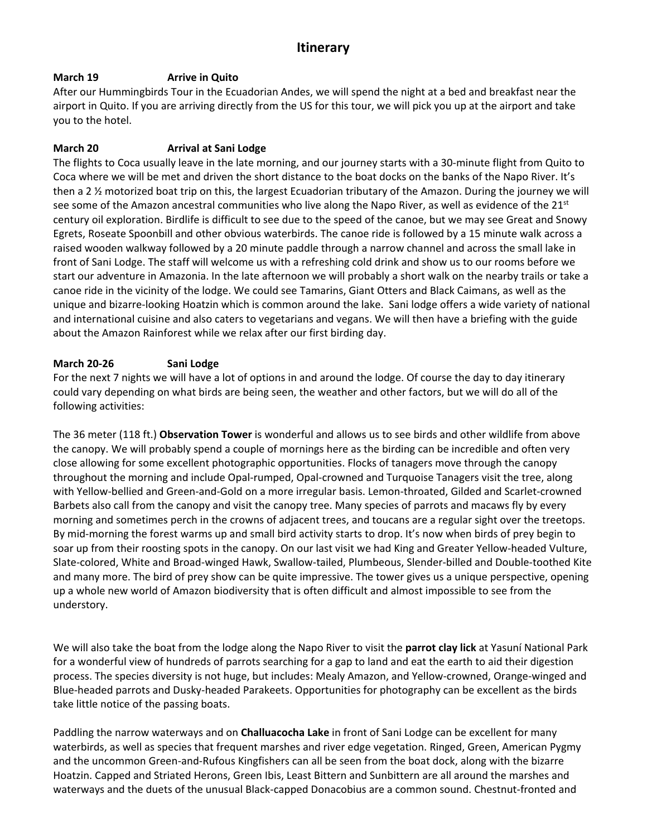## **Itinerary**

## **March 19 Arrive in Quito**

After our Hummingbirds Tour in the Ecuadorian Andes, we will spend the night at a bed and breakfast near the airport in Quito. If you are arriving directly from the US for this tour, we will pick you up at the airport and take you to the hotel.

## **March 20 Arrival at Sani Lodge**

The flights to Coca usually leave in the late morning, and our journey starts with a 30-minute flight from Quito to Coca where we will be met and driven the short distance to the boat docks on the banks of the Napo River. It's then a 2 ½ motorized boat trip on this, the largest Ecuadorian tributary of the Amazon. During the journey we will see some of the Amazon ancestral communities who live along the Napo River, as well as evidence of the  $21<sup>st</sup>$ century oil exploration. Birdlife is difficult to see due to the speed of the canoe, but we may see Great and Snowy Egrets, Roseate Spoonbill and other obvious waterbirds. The canoe ride is followed by a 15 minute walk across a raised wooden walkway followed by a 20 minute paddle through a narrow channel and across the small lake in front of Sani Lodge. The staff will welcome us with a refreshing cold drink and show us to our rooms before we start our adventure in Amazonia. In the late afternoon we will probably a short walk on the nearby trails or take a canoe ride in the vicinity of the lodge. We could see Tamarins, Giant Otters and Black Caimans, as well as the unique and bizarre-looking Hoatzin which is common around the lake. Sani lodge offers a wide variety of national and international cuisine and also caters to vegetarians and vegans. We will then have a briefing with the guide about the Amazon Rainforest while we relax after our first birding day.

## **March 20-26 Sani Lodge**

For the next 7 nights we will have a lot of options in and around the lodge. Of course the day to day itinerary could vary depending on what birds are being seen, the weather and other factors, but we will do all of the following activities:

The 36 meter (118 ft.) **Observation Tower** is wonderful and allows us to see birds and other wildlife from above the canopy. We will probably spend a couple of mornings here as the birding can be incredible and often very close allowing for some excellent photographic opportunities. Flocks of tanagers move through the canopy throughout the morning and include Opal-rumped, Opal-crowned and Turquoise Tanagers visit the tree, along with Yellow-bellied and Green-and-Gold on a more irregular basis. Lemon-throated, Gilded and Scarlet-crowned Barbets also call from the canopy and visit the canopy tree. Many species of parrots and macaws fly by every morning and sometimes perch in the crowns of adjacent trees, and toucans are a regular sight over the treetops. By mid-morning the forest warms up and small bird activity starts to drop. It's now when birds of prey begin to soar up from their roosting spots in the canopy. On our last visit we had King and Greater Yellow-headed Vulture, Slate-colored, White and Broad-winged Hawk, Swallow-tailed, Plumbeous, Slender-billed and Double-toothed Kite and many more. The bird of prey show can be quite impressive. The tower gives us a unique perspective, opening up a whole new world of Amazon biodiversity that is often difficult and almost impossible to see from the understory.

We will also take the boat from the lodge along the Napo River to visit the **parrot clay lick** at Yasuní National Park for a wonderful view of hundreds of parrots searching for a gap to land and eat the earth to aid their digestion process. The species diversity is not huge, but includes: Mealy Amazon, and Yellow-crowned, Orange-winged and Blue-headed parrots and Dusky-headed Parakeets. Opportunities for photography can be excellent as the birds take little notice of the passing boats.

Paddling the narrow waterways and on **Challuacocha Lake** in front of Sani Lodge can be excellent for many waterbirds, as well as species that frequent marshes and river edge vegetation. Ringed, Green, American Pygmy and the uncommon Green-and-Rufous Kingfishers can all be seen from the boat dock, along with the bizarre Hoatzin. Capped and Striated Herons, Green Ibis, Least Bittern and Sunbittern are all around the marshes and waterways and the duets of the unusual Black-capped Donacobius are a common sound. Chestnut-fronted and